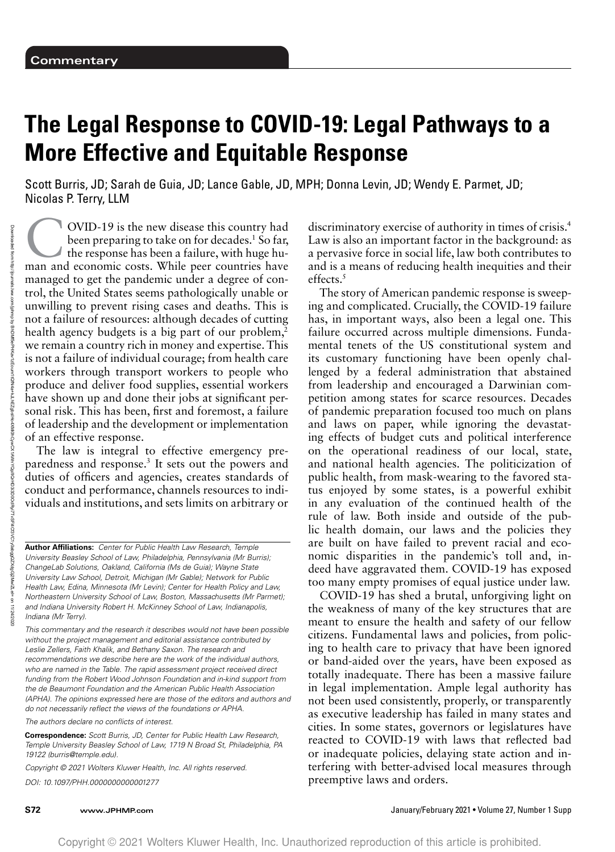# **The Legal Response to COVID-19: Legal Pathways to a More Effective and Equitable Response**

Scott Burris, JD; Sarah de Guia, JD; Lance Gable, JD, MPH; Donna Levin, JD; Wendy E. Parmet, JD; Nicolas P. Terry, LLM

**COVID-19** is the new disease this country had<br>been preparing to take on for decades.<sup>1</sup> So far,<br>the response has been a failure, with huge hu-<br>man and economic costs. While peer countries have been preparing to take on for decades.<sup>1</sup> So far, the response has been a failure, with huge human and economic costs. While peer countries have managed to get the pandemic under a degree of control, the United States seems pathologically unable or unwilling to prevent rising cases and deaths. This is not a failure of resources: although decades of cutting health agency budgets is a big part of our problem, $<sup>2</sup>$ </sup> we remain a country rich in money and expertise. This is not a failure of individual courage; from health care workers through transport workers to people who produce and deliver food supplies, essential workers have shown up and done their jobs at significant personal risk. This has been, first and foremost, a failure of leadership and the development or implementation of an effective response.

The law is integral to effective emergency preparedness and response.3 It sets out the powers and duties of officers and agencies, creates standards of conduct and performance, channels resources to individuals and institutions, and sets limits on arbitrary or

**Author Affiliations:** Center for Public Health Law Research, Temple University Beasley School of Law, Philadelphia, Pennsylvania (Mr Burris); ChangeLab Solutions, Oakland, California (Ms de Guia); Wayne State University Law School, Detroit, Michigan (Mr Gable); Network for Public Health Law, Edina, Minnesota (Mr Levin); Center for Health Policy and Law, Northeastern University School of Law, Boston, Massachusetts (Mr Parmet); and Indiana University Robert H. McKinney School of Law, Indianapolis, Indiana (Mr Terry).

This commentary and the research it describes would not have been possible without the project management and editorial assistance contributed by Leslie Zellers, Faith Khalik, and Bethany Saxon. The research and recommendations we describe here are the work of the individual authors, who are named in the Table. The rapid assessment project received direct funding from the Robert Wood Johnson Foundation and in-kind support from the de Beaumont Foundation and the American Public Health Association (APHA). The opinions expressed here are those of the editors and authors and do not necessarily reflect the views of the foundations or APHA.

The authors declare no conflicts of interest.

**Correspondence:** Scott Burris, JD, Center for Public Health Law Research, Temple University Beasley School of Law, 1719 N Broad St, Philadelphia, PA 19122 [\(burris@temple.edu\)](mailto:burris@temple.edu).

Copyright © 2021 Wolters Kluwer Health, Inc. All rights reserved. DOI: 10.1097/PHH.0000000000001277

discriminatory exercise of authority in times of crisis.4 Law is also an important factor in the background: as a pervasive force in social life, law both contributes to and is a means of reducing health inequities and their effects.<sup>5</sup>

The story of American pandemic response is sweeping and complicated. Crucially, the COVID-19 failure has, in important ways, also been a legal one. This failure occurred across multiple dimensions. Fundamental tenets of the US constitutional system and its customary functioning have been openly challenged by a federal administration that abstained from leadership and encouraged a Darwinian competition among states for scarce resources. Decades of pandemic preparation focused too much on plans and laws on paper, while ignoring the devastating effects of budget cuts and political interference on the operational readiness of our local, state, and national health agencies. The politicization of public health, from mask-wearing to the favored status enjoyed by some states, is a powerful exhibit in any evaluation of the continued health of the rule of law. Both inside and outside of the public health domain, our laws and the policies they are built on have failed to prevent racial and economic disparities in the pandemic's toll and, indeed have aggravated them. COVID-19 has exposed too many empty promises of equal justice under law.

COVID-19 has shed a brutal, unforgiving light on the weakness of many of the key structures that are meant to ensure the health and safety of our fellow citizens. Fundamental laws and policies, from policing to health care to privacy that have been ignored or band-aided over the years, have been exposed as totally inadequate. There has been a massive failure in legal implementation. Ample legal authority has not been used consistently, properly, or transparently as executive leadership has failed in many states and cities. In some states, governors or legislatures have reacted to COVID-19 with laws that reflected bad or inadequate policies, delaying state action and interfering with better-advised local measures through preemptive laws and orders.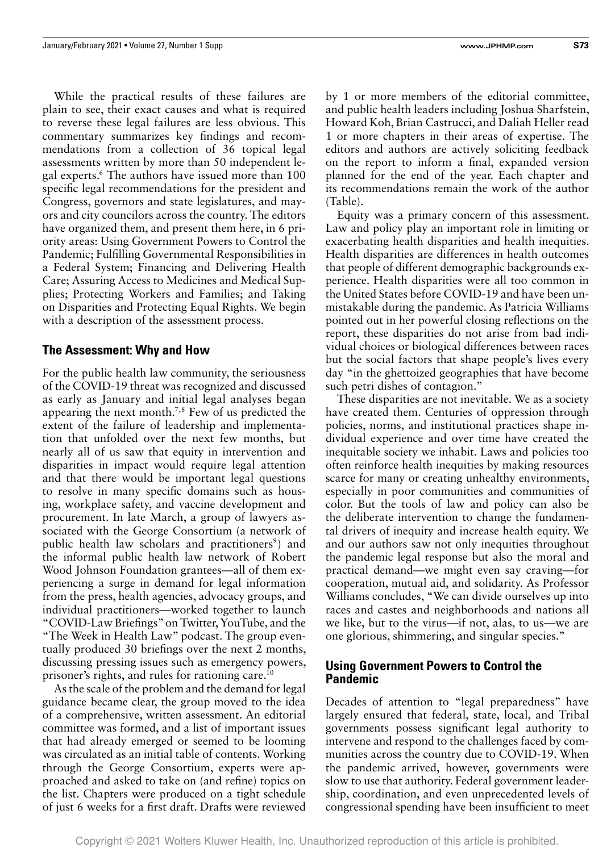While the practical results of these failures are plain to see, their exact causes and what is required to reverse these legal failures are less obvious. This commentary summarizes key findings and recommendations from a collection of 36 topical legal assessments written by more than 50 independent legal experts.<sup>6</sup> The authors have issued more than 100 specific legal recommendations for the president and Congress, governors and state legislatures, and mayors and city councilors across the country. The editors have organized them, and present them here, in 6 priority areas: Using Government Powers to Control the Pandemic; Fulfilling Governmental Responsibilities in a Federal System; Financing and Delivering Health Care; Assuring Access to Medicines and Medical Supplies; Protecting Workers and Families; and Taking on Disparities and Protecting Equal Rights. We begin with a description of the assessment process.

### **The Assessment: Why and How**

For the public health law community, the seriousness of the COVID-19 threat was recognized and discussed as early as January and initial legal analyses began appearing the next month.7,8 Few of us predicted the extent of the failure of leadership and implementation that unfolded over the next few months, but nearly all of us saw that equity in intervention and disparities in impact would require legal attention and that there would be important legal questions to resolve in many specific domains such as housing, workplace safety, and vaccine development and procurement. In late March, a group of lawyers associated with the George Consortium (a network of public health law scholars and practitioners<sup>9</sup>) and the informal public health law network of Robert Wood Johnson Foundation grantees—all of them experiencing a surge in demand for legal information from the press, health agencies, advocacy groups, and individual practitioners—worked together to launch "COVID-Law Briefings" on Twitter, YouTube, and the "The Week in Health Law" podcast. The group eventually produced 30 briefings over the next 2 months, discussing pressing issues such as emergency powers, prisoner's rights, and rules for rationing care.10

As the scale of the problem and the demand for legal guidance became clear, the group moved to the idea of a comprehensive, written assessment. An editorial committee was formed, and a list of important issues that had already emerged or seemed to be looming was circulated as an initial table of contents. Working through the George Consortium, experts were approached and asked to take on (and refine) topics on the list. Chapters were produced on a tight schedule of just 6 weeks for a first draft. Drafts were reviewed by 1 or more members of the editorial committee, and public health leaders including Joshua Sharfstein, Howard Koh, Brian Castrucci, and Daliah Heller read 1 or more chapters in their areas of expertise. The editors and authors are actively soliciting feedback on the report to inform a final, expanded version planned for the end of the year. Each chapter and its recommendations remain the work of the author (Table).

Equity was a primary concern of this assessment. Law and policy play an important role in limiting or exacerbating health disparities and health inequities. Health disparities are differences in health outcomes that people of different demographic backgrounds experience. Health disparities were all too common in the United States before COVID-19 and have been unmistakable during the pandemic. As Patricia Williams pointed out in her powerful closing reflections on the report, these disparities do not arise from bad individual choices or biological differences between races but the social factors that shape people's lives every day "in the ghettoized geographies that have become such petri dishes of contagion."

These disparities are not inevitable. We as a society have created them. Centuries of oppression through policies, norms, and institutional practices shape individual experience and over time have created the inequitable society we inhabit. Laws and policies too often reinforce health inequities by making resources scarce for many or creating unhealthy environments, especially in poor communities and communities of color. But the tools of law and policy can also be the deliberate intervention to change the fundamental drivers of inequity and increase health equity. We and our authors saw not only inequities throughout the pandemic legal response but also the moral and practical demand—we might even say craving—for cooperation, mutual aid, and solidarity. As Professor Williams concludes, "We can divide ourselves up into races and castes and neighborhoods and nations all we like, but to the virus—if not, alas, to us—we are one glorious, shimmering, and singular species."

### **Using Government Powers to Control the Pandemic**

Decades of attention to "legal preparedness" have largely ensured that federal, state, local, and Tribal governments possess significant legal authority to intervene and respond to the challenges faced by communities across the country due to COVID-19. When the pandemic arrived, however, governments were slow to use that authority. Federal government leadership, coordination, and even unprecedented levels of congressional spending have been insufficient to meet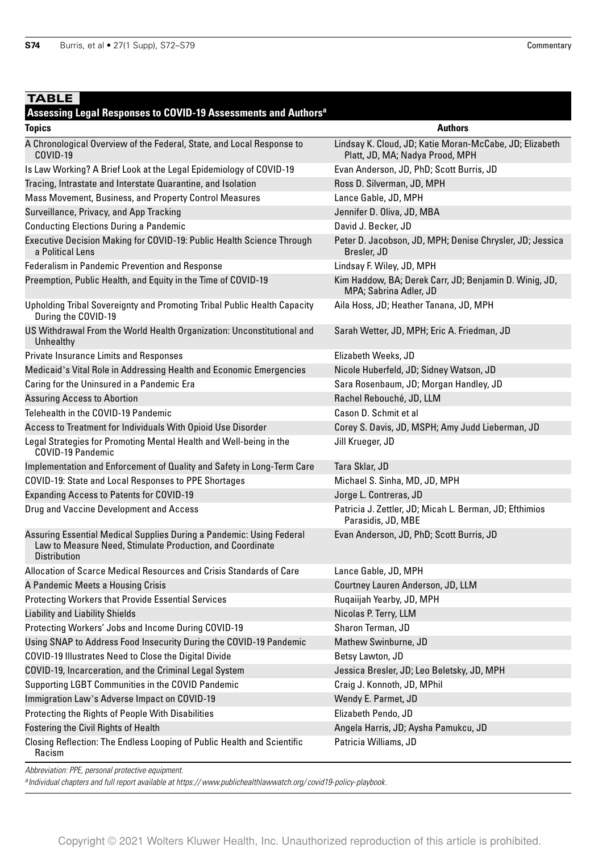## **TABLE**

#### **Assessing Legal Responses to COVID-19 Assessments and Authorsa**

| noovoomg Lugur nuoponovo<br><b>Topics</b>                                                                                                                | <b>Authors</b>                                                                             |
|----------------------------------------------------------------------------------------------------------------------------------------------------------|--------------------------------------------------------------------------------------------|
| A Chronological Overview of the Federal, State, and Local Response to<br>COVID-19                                                                        | Lindsay K. Cloud, JD; Katie Moran-McCabe, JD; Elizabeth<br>Platt, JD, MA; Nadya Prood, MPH |
| Is Law Working? A Brief Look at the Legal Epidemiology of COVID-19                                                                                       | Evan Anderson, JD, PhD; Scott Burris, JD                                                   |
| Tracing, Intrastate and Interstate Quarantine, and Isolation                                                                                             | Ross D. Silverman, JD, MPH                                                                 |
| Mass Movement, Business, and Property Control Measures                                                                                                   | Lance Gable, JD, MPH                                                                       |
| Surveillance, Privacy, and App Tracking                                                                                                                  | Jennifer D. Oliva, JD, MBA                                                                 |
| <b>Conducting Elections During a Pandemic</b>                                                                                                            | David J. Becker, JD                                                                        |
| Executive Decision Making for COVID-19: Public Health Science Through<br>a Political Lens                                                                | Peter D. Jacobson, JD, MPH; Denise Chrysler, JD; Jessica<br>Bresler, JD                    |
| Federalism in Pandemic Prevention and Response                                                                                                           | Lindsay F. Wiley, JD, MPH                                                                  |
| Preemption, Public Health, and Equity in the Time of COVID-19                                                                                            | Kim Haddow, BA; Derek Carr, JD; Benjamin D. Winig, JD,<br>MPA; Sabrina Adler, JD           |
| Upholding Tribal Sovereignty and Promoting Tribal Public Health Capacity<br>During the COVID-19                                                          | Aila Hoss, JD; Heather Tanana, JD, MPH                                                     |
| US Withdrawal From the World Health Organization: Unconstitutional and<br>Unhealthy                                                                      | Sarah Wetter, JD, MPH; Eric A. Friedman, JD                                                |
| <b>Private Insurance Limits and Responses</b>                                                                                                            | Elizabeth Weeks, JD                                                                        |
| Medicaid's Vital Role in Addressing Health and Economic Emergencies                                                                                      | Nicole Huberfeld, JD; Sidney Watson, JD                                                    |
| Caring for the Uninsured in a Pandemic Era                                                                                                               | Sara Rosenbaum, JD; Morgan Handley, JD                                                     |
| <b>Assuring Access to Abortion</b>                                                                                                                       | Rachel Rebouché, JD, LLM                                                                   |
| Telehealth in the COVID-19 Pandemic                                                                                                                      | Cason D. Schmit et al                                                                      |
| Access to Treatment for Individuals With Opioid Use Disorder                                                                                             | Corey S. Davis, JD, MSPH; Amy Judd Lieberman, JD                                           |
| Legal Strategies for Promoting Mental Health and Well-being in the<br>COVID-19 Pandemic                                                                  | Jill Krueger, JD                                                                           |
| Implementation and Enforcement of Quality and Safety in Long-Term Care                                                                                   | Tara Sklar, JD                                                                             |
| COVID-19: State and Local Responses to PPE Shortages                                                                                                     | Michael S. Sinha, MD, JD, MPH                                                              |
| <b>Expanding Access to Patents for COVID-19</b>                                                                                                          | Jorge L. Contreras, JD                                                                     |
| Drug and Vaccine Development and Access                                                                                                                  | Patricia J. Zettler, JD; Micah L. Berman, JD; Efthimios<br>Parasidis, JD, MBE              |
| Assuring Essential Medical Supplies During a Pandemic: Using Federal<br>Law to Measure Need, Stimulate Production, and Coordinate<br><b>Distribution</b> | Evan Anderson, JD, PhD; Scott Burris, JD                                                   |
| Allocation of Scarce Medical Resources and Crisis Standards of Care                                                                                      | Lance Gable, JD, MPH                                                                       |
| A Pandemic Meets a Housing Crisis                                                                                                                        | Courtney Lauren Anderson, JD, LLM                                                          |
| <b>Protecting Workers that Provide Essential Services</b>                                                                                                | Rugaiijah Yearby, JD, MPH                                                                  |
| <b>Liability and Liability Shields</b>                                                                                                                   | Nicolas P. Terry, LLM                                                                      |
| Protecting Workers' Jobs and Income During COVID-19                                                                                                      | Sharon Terman, JD                                                                          |
| Using SNAP to Address Food Insecurity During the COVID-19 Pandemic                                                                                       | Mathew Swinburne, JD                                                                       |
| COVID-19 Illustrates Need to Close the Digital Divide                                                                                                    | Betsy Lawton, JD                                                                           |
| COVID-19, Incarceration, and the Criminal Legal System                                                                                                   | Jessica Bresler, JD; Leo Beletsky, JD, MPH                                                 |
| Supporting LGBT Communities in the COVID Pandemic                                                                                                        | Craig J. Konnoth, JD, MPhil                                                                |
| Immigration Law's Adverse Impact on COVID-19                                                                                                             | Wendy E. Parmet, JD                                                                        |
| Protecting the Rights of People With Disabilities                                                                                                        | Elizabeth Pendo, JD                                                                        |
| Fostering the Civil Rights of Health                                                                                                                     | Angela Harris, JD; Aysha Pamukcu, JD                                                       |
| Closing Reflection: The Endless Looping of Public Health and Scientific<br>Racism                                                                        | Patricia Williams, JD                                                                      |

Abbreviation: PPE, personal protective equipment.

 $^a$ Individual chapters and full report available at https://www.publichealthlawwatch.org/covid19-policy-playbook.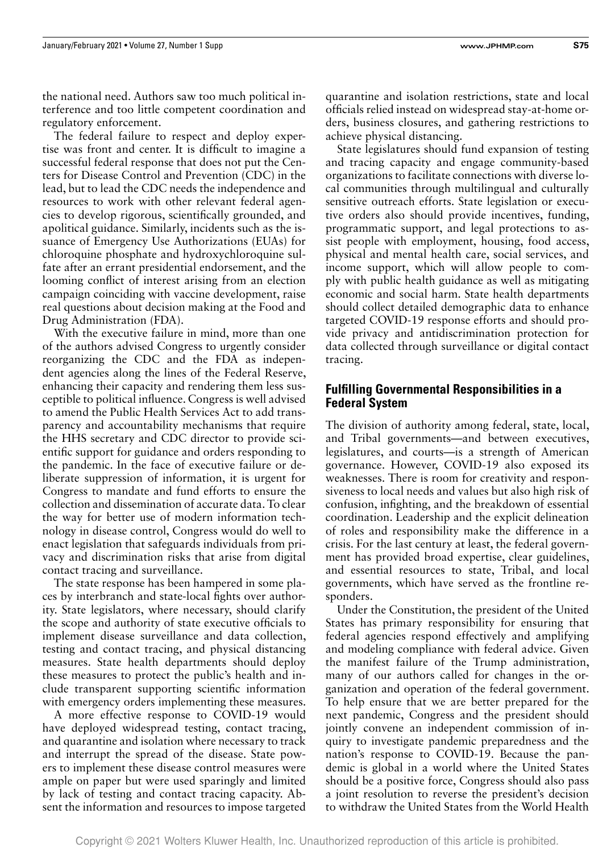the national need. Authors saw too much political in-

The federal failure to respect and deploy expertise was front and center. It is difficult to imagine a successful federal response that does not put the Centers for Disease Control and Prevention (CDC) in the lead, but to lead the CDC needs the independence and resources to work with other relevant federal agencies to develop rigorous, scientifically grounded, and apolitical guidance. Similarly, incidents such as the issuance of Emergency Use Authorizations (EUAs) for chloroquine phosphate and hydroxychloroquine sulfate after an errant presidential endorsement, and the looming conflict of interest arising from an election campaign coinciding with vaccine development, raise real questions about decision making at the Food and Drug Administration (FDA).

With the executive failure in mind, more than one of the authors advised Congress to urgently consider reorganizing the CDC and the FDA as independent agencies along the lines of the Federal Reserve, enhancing their capacity and rendering them less susceptible to political influence. Congress is well advised to amend the Public Health Services Act to add transparency and accountability mechanisms that require the HHS secretary and CDC director to provide scientific support for guidance and orders responding to the pandemic. In the face of executive failure or deliberate suppression of information, it is urgent for Congress to mandate and fund efforts to ensure the collection and dissemination of accurate data. To clear the way for better use of modern information technology in disease control, Congress would do well to enact legislation that safeguards individuals from privacy and discrimination risks that arise from digital contact tracing and surveillance.

The state response has been hampered in some places by interbranch and state-local fights over authority. State legislators, where necessary, should clarify the scope and authority of state executive officials to implement disease surveillance and data collection, testing and contact tracing, and physical distancing measures. State health departments should deploy these measures to protect the public's health and include transparent supporting scientific information with emergency orders implementing these measures.

A more effective response to COVID-19 would have deployed widespread testing, contact tracing, and quarantine and isolation where necessary to track and interrupt the spread of the disease. State powers to implement these disease control measures were ample on paper but were used sparingly and limited by lack of testing and contact tracing capacity. Absent the information and resources to impose targeted quarantine and isolation restrictions, state and local officials relied instead on widespread stay-at-home orders, business closures, and gathering restrictions to achieve physical distancing.

State legislatures should fund expansion of testing and tracing capacity and engage community-based organizations to facilitate connections with diverse local communities through multilingual and culturally sensitive outreach efforts. State legislation or executive orders also should provide incentives, funding, programmatic support, and legal protections to assist people with employment, housing, food access, physical and mental health care, social services, and income support, which will allow people to comply with public health guidance as well as mitigating economic and social harm. State health departments should collect detailed demographic data to enhance targeted COVID-19 response efforts and should provide privacy and antidiscrimination protection for data collected through surveillance or digital contact tracing.

#### **Fulfilling Governmental Responsibilities in a Federal System**

The division of authority among federal, state, local, and Tribal governments—and between executives, legislatures, and courts—is a strength of American governance. However, COVID-19 also exposed its weaknesses. There is room for creativity and responsiveness to local needs and values but also high risk of confusion, infighting, and the breakdown of essential coordination. Leadership and the explicit delineation of roles and responsibility make the difference in a crisis. For the last century at least, the federal government has provided broad expertise, clear guidelines, and essential resources to state, Tribal, and local governments, which have served as the frontline responders.

Under the Constitution, the president of the United States has primary responsibility for ensuring that federal agencies respond effectively and amplifying and modeling compliance with federal advice. Given the manifest failure of the Trump administration, many of our authors called for changes in the organization and operation of the federal government. To help ensure that we are better prepared for the next pandemic, Congress and the president should jointly convene an independent commission of inquiry to investigate pandemic preparedness and the nation's response to COVID-19. Because the pandemic is global in a world where the United States should be a positive force, Congress should also pass a joint resolution to reverse the president's decision to withdraw the United States from the World Health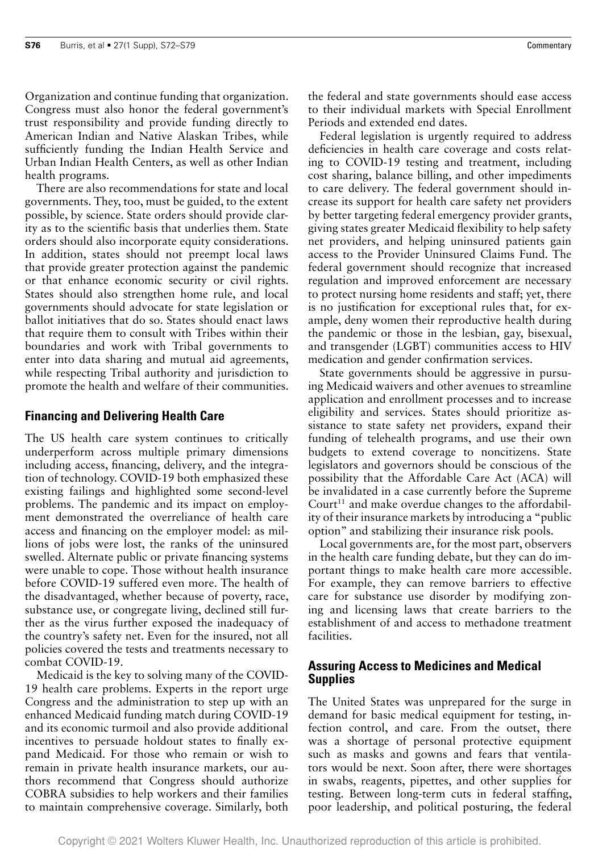Organization and continue funding that organization. Congress must also honor the federal government's trust responsibility and provide funding directly to American Indian and Native Alaskan Tribes, while sufficiently funding the Indian Health Service and Urban Indian Health Centers, as well as other Indian health programs.

There are also recommendations for state and local governments. They, too, must be guided, to the extent possible, by science. State orders should provide clarity as to the scientific basis that underlies them. State orders should also incorporate equity considerations. In addition, states should not preempt local laws that provide greater protection against the pandemic or that enhance economic security or civil rights. States should also strengthen home rule, and local governments should advocate for state legislation or ballot initiatives that do so. States should enact laws that require them to consult with Tribes within their boundaries and work with Tribal governments to enter into data sharing and mutual aid agreements, while respecting Tribal authority and jurisdiction to promote the health and welfare of their communities.

### **Financing and Delivering Health Care**

The US health care system continues to critically underperform across multiple primary dimensions including access, financing, delivery, and the integration of technology. COVID-19 both emphasized these existing failings and highlighted some second-level problems. The pandemic and its impact on employment demonstrated the overreliance of health care access and financing on the employer model: as millions of jobs were lost, the ranks of the uninsured swelled. Alternate public or private financing systems were unable to cope. Those without health insurance before COVID-19 suffered even more. The health of the disadvantaged, whether because of poverty, race, substance use, or congregate living, declined still further as the virus further exposed the inadequacy of the country's safety net. Even for the insured, not all policies covered the tests and treatments necessary to combat COVID-19.

Medicaid is the key to solving many of the COVID-19 health care problems. Experts in the report urge Congress and the administration to step up with an enhanced Medicaid funding match during COVID-19 and its economic turmoil and also provide additional incentives to persuade holdout states to finally expand Medicaid. For those who remain or wish to remain in private health insurance markets, our authors recommend that Congress should authorize COBRA subsidies to help workers and their families to maintain comprehensive coverage. Similarly, both the federal and state governments should ease access to their individual markets with Special Enrollment Periods and extended end dates.

Federal legislation is urgently required to address deficiencies in health care coverage and costs relating to COVID-19 testing and treatment, including cost sharing, balance billing, and other impediments to care delivery. The federal government should increase its support for health care safety net providers by better targeting federal emergency provider grants, giving states greater Medicaid flexibility to help safety net providers, and helping uninsured patients gain access to the Provider Uninsured Claims Fund. The federal government should recognize that increased regulation and improved enforcement are necessary to protect nursing home residents and staff; yet, there is no justification for exceptional rules that, for example, deny women their reproductive health during the pandemic or those in the lesbian, gay, bisexual, and transgender (LGBT) communities access to HIV medication and gender confirmation services.

State governments should be aggressive in pursuing Medicaid waivers and other avenues to streamline application and enrollment processes and to increase eligibility and services. States should prioritize assistance to state safety net providers, expand their funding of telehealth programs, and use their own budgets to extend coverage to noncitizens. State legislators and governors should be conscious of the possibility that the Affordable Care Act (ACA) will be invalidated in a case currently before the Supreme Court<sup>11</sup> and make overdue changes to the affordability of their insurance markets by introducing a "public option" and stabilizing their insurance risk pools.

Local governments are, for the most part, observers in the health care funding debate, but they can do important things to make health care more accessible. For example, they can remove barriers to effective care for substance use disorder by modifying zoning and licensing laws that create barriers to the establishment of and access to methadone treatment facilities.

### **Assuring Access to Medicines and Medical Supplies**

The United States was unprepared for the surge in demand for basic medical equipment for testing, infection control, and care. From the outset, there was a shortage of personal protective equipment such as masks and gowns and fears that ventilators would be next. Soon after, there were shortages in swabs, reagents, pipettes, and other supplies for testing. Between long-term cuts in federal staffing, poor leadership, and political posturing, the federal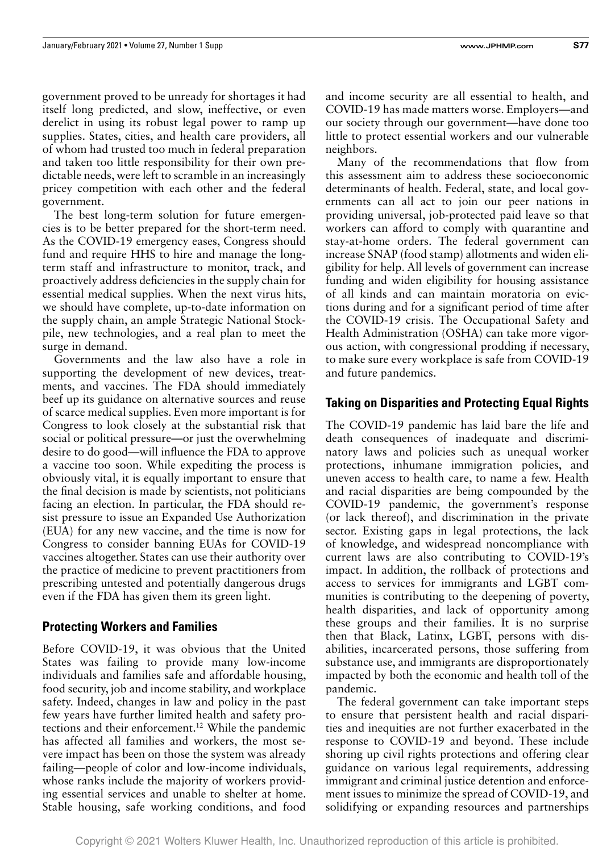government proved to be unready for shortages it had itself long predicted, and slow, ineffective, or even derelict in using its robust legal power to ramp up supplies. States, cities, and health care providers, all of whom had trusted too much in federal preparation and taken too little responsibility for their own predictable needs, were left to scramble in an increasingly pricey competition with each other and the federal government.

The best long-term solution for future emergencies is to be better prepared for the short-term need. As the COVID-19 emergency eases, Congress should fund and require HHS to hire and manage the longterm staff and infrastructure to monitor, track, and proactively address deficiencies in the supply chain for essential medical supplies. When the next virus hits, we should have complete, up-to-date information on the supply chain, an ample Strategic National Stockpile, new technologies, and a real plan to meet the surge in demand.

Governments and the law also have a role in supporting the development of new devices, treatments, and vaccines. The FDA should immediately beef up its guidance on alternative sources and reuse of scarce medical supplies. Even more important is for Congress to look closely at the substantial risk that social or political pressure—or just the overwhelming desire to do good—will influence the FDA to approve a vaccine too soon. While expediting the process is obviously vital, it is equally important to ensure that the final decision is made by scientists, not politicians facing an election. In particular, the FDA should resist pressure to issue an Expanded Use Authorization (EUA) for any new vaccine, and the time is now for Congress to consider banning EUAs for COVID-19 vaccines altogether. States can use their authority over the practice of medicine to prevent practitioners from prescribing untested and potentially dangerous drugs even if the FDA has given them its green light.

## **Protecting Workers and Families**

Before COVID-19, it was obvious that the United States was failing to provide many low-income individuals and families safe and affordable housing, food security, job and income stability, and workplace safety. Indeed, changes in law and policy in the past few years have further limited health and safety protections and their enforcement.12 While the pandemic has affected all families and workers, the most severe impact has been on those the system was already failing—people of color and low-income individuals, whose ranks include the majority of workers providing essential services and unable to shelter at home. Stable housing, safe working conditions, and food and income security are all essential to health, and COVID-19 has made matters worse. Employers—and our society through our government—have done too little to protect essential workers and our vulnerable neighbors.

Many of the recommendations that flow from this assessment aim to address these socioeconomic determinants of health. Federal, state, and local governments can all act to join our peer nations in providing universal, job-protected paid leave so that workers can afford to comply with quarantine and stay-at-home orders. The federal government can increase SNAP (food stamp) allotments and widen eligibility for help. All levels of government can increase funding and widen eligibility for housing assistance of all kinds and can maintain moratoria on evictions during and for a significant period of time after the COVID-19 crisis. The Occupational Safety and Health Administration (OSHA) can take more vigorous action, with congressional prodding if necessary, to make sure every workplace is safe from COVID-19 and future pandemics.

## **Taking on Disparities and Protecting Equal Rights**

The COVID-19 pandemic has laid bare the life and death consequences of inadequate and discriminatory laws and policies such as unequal worker protections, inhumane immigration policies, and uneven access to health care, to name a few. Health and racial disparities are being compounded by the COVID-19 pandemic, the government's response (or lack thereof), and discrimination in the private sector. Existing gaps in legal protections, the lack of knowledge, and widespread noncompliance with current laws are also contributing to COVID-19's impact. In addition, the rollback of protections and access to services for immigrants and LGBT communities is contributing to the deepening of poverty, health disparities, and lack of opportunity among these groups and their families. It is no surprise then that Black, Latinx, LGBT, persons with disabilities, incarcerated persons, those suffering from substance use, and immigrants are disproportionately impacted by both the economic and health toll of the pandemic.

The federal government can take important steps to ensure that persistent health and racial disparities and inequities are not further exacerbated in the response to COVID-19 and beyond. These include shoring up civil rights protections and offering clear guidance on various legal requirements, addressing immigrant and criminal justice detention and enforcement issues to minimize the spread of COVID-19, and solidifying or expanding resources and partnerships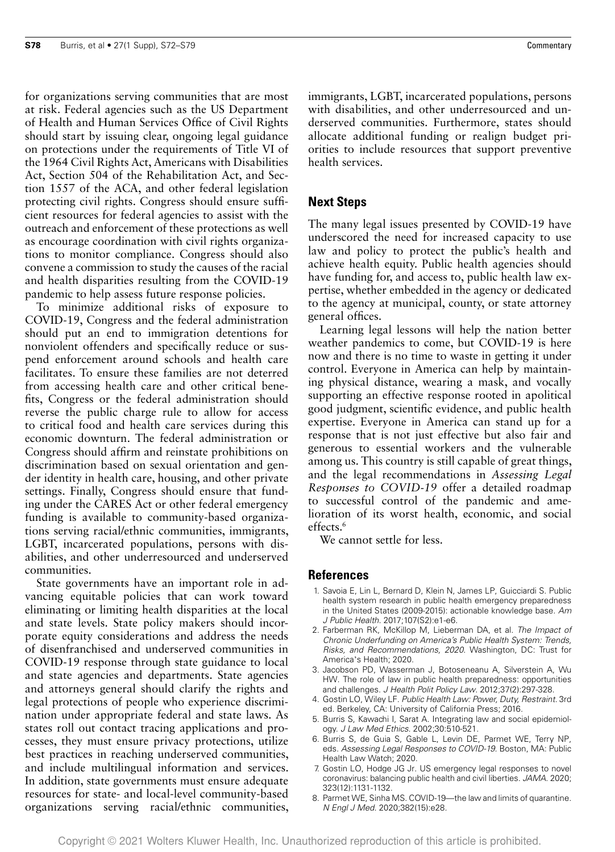for organizations serving communities that are most at risk. Federal agencies such as the US Department of Health and Human Services Office of Civil Rights should start by issuing clear, ongoing legal guidance on protections under the requirements of Title VI of the 1964 Civil Rights Act, Americans with Disabilities Act, Section 504 of the Rehabilitation Act, and Section 1557 of the ACA, and other federal legislation protecting civil rights. Congress should ensure sufficient resources for federal agencies to assist with the outreach and enforcement of these protections as well as encourage coordination with civil rights organizations to monitor compliance. Congress should also convene a commission to study the causes of the racial and health disparities resulting from the COVID-19 pandemic to help assess future response policies.

To minimize additional risks of exposure to COVID-19, Congress and the federal administration should put an end to immigration detentions for nonviolent offenders and specifically reduce or suspend enforcement around schools and health care facilitates. To ensure these families are not deterred from accessing health care and other critical benefits, Congress or the federal administration should reverse the public charge rule to allow for access to critical food and health care services during this economic downturn. The federal administration or Congress should affirm and reinstate prohibitions on discrimination based on sexual orientation and gender identity in health care, housing, and other private settings. Finally, Congress should ensure that funding under the CARES Act or other federal emergency funding is available to community-based organizations serving racial/ethnic communities, immigrants, LGBT, incarcerated populations, persons with disabilities, and other underresourced and underserved communities.

State governments have an important role in advancing equitable policies that can work toward eliminating or limiting health disparities at the local and state levels. State policy makers should incorporate equity considerations and address the needs of disenfranchised and underserved communities in COVID-19 response through state guidance to local and state agencies and departments. State agencies and attorneys general should clarify the rights and legal protections of people who experience discrimination under appropriate federal and state laws. As states roll out contact tracing applications and processes, they must ensure privacy protections, utilize best practices in reaching underserved communities, and include multilingual information and services. In addition, state governments must ensure adequate resources for state- and local-level community-based organizations serving racial/ethnic communities,

immigrants, LGBT, incarcerated populations, persons with disabilities, and other underresourced and underserved communities. Furthermore, states should allocate additional funding or realign budget priorities to include resources that support preventive health services.

#### **Next Steps**

The many legal issues presented by COVID-19 have underscored the need for increased capacity to use law and policy to protect the public's health and achieve health equity. Public health agencies should have funding for, and access to, public health law expertise, whether embedded in the agency or dedicated to the agency at municipal, county, or state attorney general offices.

Learning legal lessons will help the nation better weather pandemics to come, but COVID-19 is here now and there is no time to waste in getting it under control. Everyone in America can help by maintaining physical distance, wearing a mask, and vocally supporting an effective response rooted in apolitical good judgment, scientific evidence, and public health expertise. Everyone in America can stand up for a response that is not just effective but also fair and generous to essential workers and the vulnerable among us. This country is still capable of great things, and the legal recommendations in *Assessing Legal Responses to COVID-19* offer a detailed roadmap to successful control of the pandemic and amelioration of its worst health, economic, and social effects.<sup>6</sup>

We cannot settle for less.

#### **References**

- 1. Savoia E, Lin L, Bernard D, Klein N, James LP, Guicciardi S. Public health system research in public health emergency preparedness in the United States (2009-2015): actionable knowledge base. Am J Public Health. 2017;107(S2):e1-e6.
- 2. Farberman RK, McKillop M, Lieberman DA, et al. The Impact of Chronic Underfunding on America's Public Health System: Trends, Risks, and Recommendations, 2020. Washington, DC: Trust for America's Health; 2020.
- 3. Jacobson PD, Wasserman J, Botoseneanu A, Silverstein A, Wu HW. The role of law in public health preparedness: opportunities and challenges. J Health Polit Policy Law. 2012;37(2):297-328.
- 4. Gostin LO, Wiley LF. Public Health Law: Power, Duty, Restraint. 3rd ed. Berkeley, CA: University of California Press; 2016.
- 5. Burris S, Kawachi I, Sarat A. Integrating law and social epidemiology. J Law Med Ethics. 2002;30:510-521.
- 6. Burris S, de Guia S, Gable L, Levin DE, Parmet WE, Terry NP, eds. Assessing Legal Responses to COVID-19. Boston, MA: Public Health Law Watch; 2020.
- 7. Gostin LO, Hodge JG Jr. US emergency legal responses to novel coronavirus: balancing public health and civil liberties. JAMA. 2020; 323(12):1131-1132.
- 8. Parmet WE, Sinha MS. COVID-19—the law and limits of quarantine. N Engl J Med. 2020;382(15):e28.